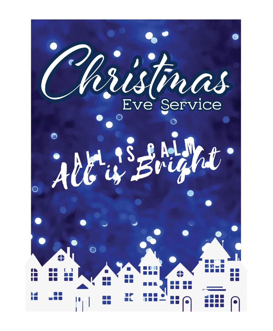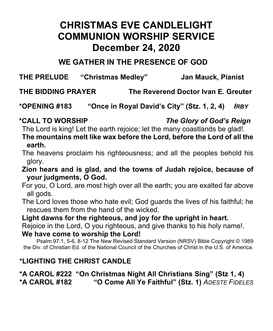# **CHRISTMAS EVE CANDLELIGHT COMMUNION WORSHIP SERVICE December 24, 2020**

## **WE GATHER IN THE PRESENCE OF GOD**

**THE PRELUDE "Christmas Medley" Jan Mauck, Pianist**

**THE BIDDING PRAYER The Reverend Doctor Ivan E. Greuter**

**\*OPENING #183 "Once in Royal David's City" (Stz. 1, 2, 4)** *IRBY*

The Lord is king! Let the earth rejoice; let the many coastlands be glad!.

**The mountains melt like wax before the Lord, before the Lord of all the earth.**

The heavens proclaim his righteousness; and all the peoples behold his glory.

**Zion hears and is glad, and the towns of Judah rejoice, because of your judgments, O God.**

For you, O Lord, are most high over all the earth; you are exalted far above all gods.

The Lord loves those who hate evil; God guards the lives of his faithful; he rescues them from the hand of the wicked.

### **Light dawns for the righteous, and joy for the upright in heart.**

Rejoice in the Lord, O you righteous, and give thanks to his holy name!.

### **We have come to worship the Lord!**

Psalm 97:1, 5-6, 8-12 The New Revised Standard Version (NRSV) Bible Copyright © 1989 the Div. of Christian Ed. of the National Council of the Churches of Christ in the U.S. of America.

## **\*LIGHTING THE CHRIST CANDLE**

### **\*A CAROL #222 "On Christmas Night All Christians Sing" (Stz 1, 4) \*A CAROL #182 "O Come All Ye Faithful" (Stz. 1)** *ADESTE FIDELES*

## **\*CALL TO WORSHIP** *The Glory of God's Reign*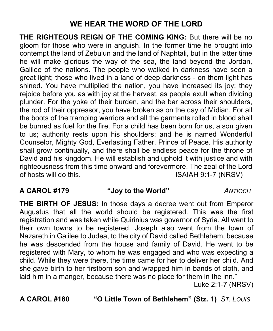## **WE HEAR THE WORD OF THE LORD**

**THE RIGHTEOUS REIGN OF THE COMING KING:** But there will be no gloom for those who were in anguish. In the former time he brought into contempt the land of Zebulun and the land of Naphtali, but in the latter time he will make glorious the way of the sea, the land beyond the Jordan, Galilee of the nations. The people who walked in darkness have seen a great light; those who lived in a land of deep darkness - on them light has shined. You have multiplied the nation, you have increased its joy; they rejoice before you as with joy at the harvest, as people exult when dividing plunder. For the yoke of their burden, and the bar across their shoulders, the rod of their oppressor, you have broken as on the day of Midian. For all the boots of the tramping warriors and all the garments rolled in blood shall be burned as fuel for the fire. For a child has been born for us, a son given to us; authority rests upon his shoulders; and he is named Wonderful Counselor, Mighty God, Everlasting Father, Prince of Peace. His authority shall grow continually, and there shall be endless peace for the throne of David and his kingdom. He will establish and uphold it with justice and with righteousness from this time onward and forevermore. The zeal of the Lord of hosts will do this. ISAIAH 9:1-7 (NRSV)

### **A CAROL #179 "Joy to the World"** *ANTIOCH*

**THE BIRTH OF JESUS:** In those days a decree went out from Emperor Augustus that all the world should be registered. This was the first registration and was taken while Quirinius was governor of Syria. All went to their own towns to be registered. Joseph also went from the town of Nazareth in Galilee to Judea, to the city of David called Bethlehem, because he was descended from the house and family of David. He went to be registered with Mary, to whom he was engaged and who was expecting a child. While they were there, the time came for her to deliver her child. And she gave birth to her firstborn son and wrapped him in bands of cloth, and laid him in a manger, because there was no place for them in the inn." Luke 2:1-7 (NRSV)

**A CAROL #180 "O Little Town of Bethlehem" (Stz. 1)** *ST. LOUIS*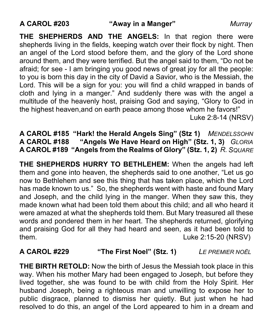**THE SHEPHERDS AND THE ANGELS:** In that region there were shepherds living in the fields, keeping watch over their flock by night. Then an angel of the Lord stood before them, and the glory of the Lord shone around them, and they were terrified. But the angel said to them, "Do not be afraid; for see - I am bringing you good news of great joy for all the people: to you is born this day in the city of David a Savior, who is the Messiah, the Lord. This will be a sign for you: you will find a child wrapped in bands of cloth and lying in a manger." And suddenly there was with the angel a multitude of the heavenly host, praising God and saying, "Glory to God in the highest heaven,and on earth peace among those whom he favors!"

Luke 2:8-14 (NRSV)

**A CAROL #185 "Hark! the Herald Angels Sing" (Stz 1)** *MENDELSSOHN* **A CAROL #188 "Angels We Have Heard on High" (Stz. 1, 3)** *GLORIA* **A CAROL #189 "Angels from the Realms of Glory" (Stz. 1, 2)** *R. SQUARE*

**THE SHEPHERDS HURRY TO BETHLEHEM:** When the angels had left them and gone into heaven, the shepherds said to one another, "Let us go now to Bethlehem and see this thing that has taken place, which the Lord has made known to us." So, the shepherds went with haste and found Mary and Joseph, and the child lying in the manger. When they saw this, they made known what had been told them about this child; and all who heard it were amazed at what the shepherds told them. But Mary treasured all these words and pondered them in her heart. The shepherds returned, glorifying and praising God for all they had heard and seen, as it had been told to them. Luke 2:15-20 (NRSV)

### **A CAROL #229 "The First Noel" (Stz. 1)** *LE PREMIER NOËL*

**THE BIRTH RETOLD:** Now the birth of Jesus the Messiah took place in this way. When his mother Mary had been engaged to Joseph, but before they lived together, she was found to be with child from the Holy Spirit. Her husband Joseph, being a righteous man and unwilling to expose her to public disgrace, planned to dismiss her quietly. But just when he had resolved to do this, an angel of the Lord appeared to him in a dream and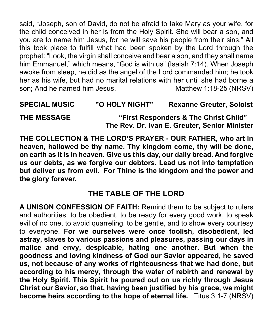said, "Joseph, son of David, do not be afraid to take Mary as your wife, for the child conceived in her is from the Holy Spirit. She will bear a son, and you are to name him Jesus, for he will save his people from their sins." All this took place to fulfill what had been spoken by the Lord through the prophet: "Look, the virgin shall conceive and bear a son, and they shall name him Emmanuel," which means, "God is with us" (Isaiah 7:14). When Joseph awoke from sleep, he did as the angel of the Lord commanded him; he took her as his wife, but had no marital relations with her until she had borne a son; And he named him Jesus. Matthew 1:18-25 (NRSV)

**SPECIAL MUSIC "O HOLY NIGHT" Rexanne Greuter, Soloist THE MESSAGE "First Responders & The Christ Child"**

**The Rev. Dr. Ivan E. Greuter, Senior Minister**

**THE COLLECTION & THE LORD'S PRAYER - OUR FATHER, who art in heaven, hallowed be thy name. Thy kingdom come, thy will be done, on earth as it is in heaven. Give us this day, our daily bread. And forgive us our debts, as we forgive our debtors. Lead us not into temptation but deliver us from evil. For Thine is the kingdom and the power and the glory forever.**

## **THE TABLE OF THE LORD**

**A UNISON CONFESSION OF FAITH:** Remind them to be subject to rulers and authorities, to be obedient, to be ready for every good work, to speak evil of no one, to avoid quarreling, to be gentle, and to show every courtesy to everyone. **For we ourselves were once foolish, disobedient, led astray, slaves to various passions and pleasures, passing our days in malice and envy, despicable, hating one another. But when the goodness and loving kindness of God our Savior appeared, he saved us, not because of any works of righteousness that we had done, but according to his mercy, through the water of rebirth and renewal by the Holy Spirit. This Spirit he poured out on us richly through Jesus Christ our Savior, so that, having been justified by his grace, we might become heirs according to the hope of eternal life.** Titus 3:1-7 (NRSV)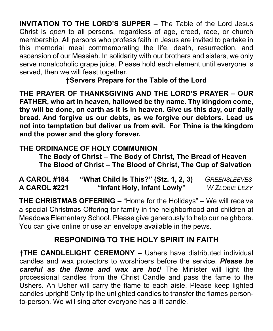**INVITATION TO THE LORD'S SUPPER –** The Table of the Lord Jesus Christ is *open* to all persons, regardless of age, creed, race, or church membership. All persons who profess faith in Jesus are invited to partake in this memorial meal commemorating the life, death, resurrection, and ascension of our Messiah. In solidarity with our brothers and sisters, we only serve nonalcoholic grape juice. Please hold each element until everyone is served, then we will feast together.

**†Servers Prepare for the Table of the Lord**

**THE PRAYER OF THANKSGIVING AND THE LORD'S PRAYER – OUR FATHER, who art in heaven, hallowed be thy name. Thy kingdom come, thy will be done, on earth as it is in heaven. Give us this day, our daily bread. And forgive us our debts, as we forgive our debtors. Lead us not into temptation but deliver us from evil. For Thine is the kingdom and the power and the glory forever.** 

## **THE ORDINANCE OF HOLY COMMUNION**

**The Body of Christ – The Body of Christ, The Bread of Heaven The Blood of Christ – The Blood of Christ, The Cup of Salvation**

**A CAROL #184 "What Child Is This?" (Stz. 1, 2, 3)** *GREENSLEEVES* **A CAROL #221 "Infant Holy, Infant Lowly"** *W ZLOBIE LEZY* 

**THE CHRISTMAS OFFERING –** "Home for the Holidays" – We will receive a special Christmas Offering for family in the neighborhood and children at Meadows Elementary School. Please give generously to help our neighbors. You can give online or use an envelope available in the pews.

## **RESPONDING TO THE HOLY SPIRIT IN FAITH**

**†THE CANDLELIGHT CEREMONY –** Ushers have distributed individual candles and wax protectors to worshipers before the service. *Please be careful as the flame and wax are hot!* The Minister will light the processional candles from the Christ Candle and pass the fame to the Ushers. An Usher will carry the flame to each aisle. Please keep lighted candles upright! Only tip the unlighted candles to transfer the flames personto-person. We will sing after everyone has a lit candle.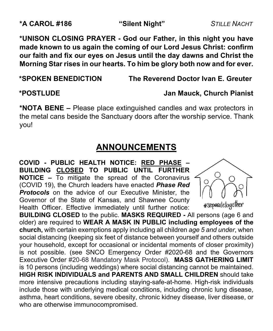**\*UNISON CLOSING PRAYER - God our Father, in this night you have made known to us again the coming of our Lord Jesus Christ: confirm our faith and fix our eyes on Jesus until the day dawns and Christ the Morning Star rises in our hearts. To him be glory both now and for ever.** 

**\*SPOKEN BENEDICTION The Reverend Doctor Ivan E. Greuter**

### **\*POSTLUDE Jan Mauck, Church Pianist**

**\*NOTA BENE –** Please place extinguished candles and wax protectors in the metal cans beside the Sanctuary doors after the worship service. Thank you!

## **ANNOUNCEMENTS**

**COVID - PUBLIC HEALTH NOTICE: RED PHASE – BUILDING CLOSED TO PUBLIC UNTIL FURTHER NOTICE –** To mitigate the spread of the Coronavirus (COVID 19), the Church leaders have enacted *Phase Red*  **Protocols** on the advice of our Executive Minister, the Governor of the State of Kansas, and Shawnee County Health Officer. Effective immediately until further notice:



**BUILDING CLOSED** to the public. **MASKS REQUIRED -** All persons (age 6 and older) are required to **WEAR A MASK IN PUBLIC including employees of the church,** with certain exemptions apply including all children *age 5 and under*, when social distancing (keeping six feet of distance between yourself and others outside your household, except for occasional or incidental moments of closer proximity) is not possible. (see SNCO Emergency Order #2020-68 and the Governors Executive Order #20-68 Mandatory Mask Protocol). **MASS GATHERING LIMIT** is 10 persons (including weddings) where social distancing cannot be maintained. **HIGH RISK INDIVIDUALS and PARENTS AND SMALL CHILDREN** should take more intensive precautions including staying-safe-at-home. High-risk individuals include those with underlying medical conditions, including chronic lung disease, asthma, heart conditions, severe obesity, chronic kidney disease, liver disease, or who are otherwise immunocompromised.